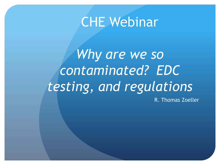## CHE Webinar

Why are we so *contaminated? EDC testing, and regulations* R. Thomas Zoeller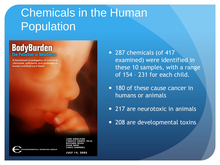## Chemicals in the Human Population

# **BodyBurden**

A benchmark investigation of industrial chemicals, pollutants, and pesticides in human umbilical cord blood

> **KROPP. SEAN GRAY CHRIS CAMPRELL**

**JULY 14, 2005** 

- 287 chemicals (of 417 examined) were identified in these 10 samples, with a range of 154 – 231 for each child.
- 180 of these cause cancer in humans or animals
- 217 are neurotoxic in animals
- 208 are developmental toxins

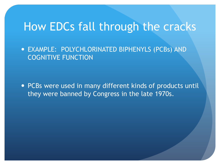#### How EDCs fall through the cracks

 EXAMPLE: POLYCHLORINATED BIPHENYLS (PCBs) AND COGNITIVE FUNCTION

 PCBs were used in many different kinds of products until they were banned by Congress in the late 1970s.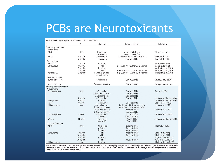## PCBs are Neurotoxicants

| Table 3. Neuropsychological outcomes of human PCB studies. <sup>a</sup> |              |                                    |                                                  |                             |
|-------------------------------------------------------------------------|--------------|------------------------------------|--------------------------------------------------|-----------------------------|
| Test                                                                    | Age          | Outcome                            | Exposure variable                                | References                  |
| Congener-specific studies                                               |              |                                    |                                                  |                             |
| Oswego cohort                                                           |              |                                    |                                                  |                             |
| <b>NBAS</b>                                                             | Birth        | $\downarrow$ Autonomic             | 7-9 chlorinated PCBs                             | Stewart et al. (2000)       |
|                                                                         |              | $\downarrow$ Habituation           | 7-9 chlorinated PCBs                             |                             |
| Fagan                                                                   | 6 months     | $L$ Fixation time                  | Cord blood PCBs, 7-9 chlorinated PCBs            | Darvill et al. (2000)       |
|                                                                         | 12 months    | $L$ Fixation time                  | Cord blood PCBs                                  | Darvill et al. (2000)       |
| German cohort                                                           |              |                                    |                                                  |                             |
| Fagan                                                                   | 7 months     | No effect                          |                                                  | Winneke et al. (1998)       |
| <b>Bayley scales</b>                                                    | 7 months     | LM                                 | In ∑PCBs (138, 153, and 180) breast milk         | Winneke et al. (1998)       |
|                                                                         | 18 months    | No effect                          |                                                  | Walkowiak et al. (2001)     |
|                                                                         | 30 months    | LM                                 | In ∑PCBs (138, 153, and 180) breast milk         | Walkowiak et al. (2001)     |
| Kaufman ABC                                                             | 42 months    | $\downarrow$ Mental processing     | In $\Sigma$ PCBs (138, 153, and 180) breast milk | Walkowiak et al. (2001)     |
|                                                                         |              | composite index                    |                                                  |                             |
| Faroe Islands cohort                                                    |              |                                    |                                                  |                             |
| <b>Boston Naming Test</b>                                               |              | $L$ Performance                    | Cord blood PCBs                                  | Grandjean et al. (2001)     |
|                                                                         |              |                                    |                                                  |                             |
| Auditory function                                                       |              | T Auditory thresholds              | Cord blood PCBs                                  | Grandjean et al. (2001)     |
| Noncongener-specific studies                                            |              |                                    |                                                  |                             |
| Michigan cohort                                                         |              |                                    |                                                  |                             |
| Birth size/growth                                                       | <b>Birth</b> | $\downarrow$ Birth weight          | Cord blood PCBs                                  | Fein et al. (1984)          |
|                                                                         |              | $\downarrow$ Head circumference    | Cord blood PCBs                                  |                             |
|                                                                         |              | $\downarrow$ Gestational age       | Cord blood PCBs                                  |                             |
|                                                                         | 5 months     | $\downarrow$ Body weight           | Cord blood PCBs                                  | Jacobson and Jacobson (1988 |
| <b>Bayley scales</b>                                                    | 5 months     | No effect                          |                                                  | Jacobson and Jacobson (1986 |
| Fagan                                                                   | 7 months     | $L$ Fixation time                  | Cord blood PCBs                                  | Jacobson et al. (1985)      |
| McCarthy scales                                                         | 4 years      | $\downarrow$ Verbal memory         | Cord blood PCBs, breast milk PCBs                | Jacobson et al. (1990a)     |
|                                                                         |              | $\downarrow$ Numerical memory      | Cord blood PCBs, breast milk PCBs                |                             |
|                                                                         |              | $\downarrow$ Visual discrimination | <b>Breast milk PCBs</b>                          | Jacobson et al. (1992)      |
|                                                                         |              | $\downarrow$ Short term memory     | Cord blood PCBs                                  |                             |
| Birth size/growth                                                       | 4 years      | $\downarrow$ Body weight           | <b>Total cord PCBs</b>                           | Jacobson et al. (1990b)     |
|                                                                         |              | $L$ Activity                       | Child's total PCBs                               |                             |
| WISC-R                                                                  | 11 years     | $L$ Full-scale IQ                  | <b>Prenatal PCBs</b>                             | Jacobson and Jacobson (1996 |
|                                                                         |              | $\downarrow$ Verbal IQ             | <b>Prenatal PCBs</b>                             |                             |
| North Carolina cohort                                                   |              |                                    |                                                  |                             |
| <b>NBAS</b>                                                             | Birth        | $\downarrow$ Muscle tone           | <b>Breast milk PCBs</b>                          | Rogan et al. (1986b)        |
| <b>Bayley scales</b>                                                    |              | $L$ Activity                       | <b>Breast milk PCBs</b>                          |                             |
|                                                                         |              | $\downarrow$ Reflexes              | <b>Breast milk PCBs</b>                          |                             |
|                                                                         | 6 months     | $L$ PDI                            | <b>Breast milk PCBs</b>                          | Gladen et al. (1988)        |
|                                                                         | 12 months    | $L$ PDI                            |                                                  |                             |
|                                                                         |              |                                    | <b>Breast milk PCBs</b>                          | Gladen et al. (1988)        |
|                                                                         | 18 months    | No effect                          |                                                  | Rogan and Gladen (1991)     |
|                                                                         | 24 months    | $L$ PDI                            | <b>Breast milk PCBs</b>                          | Rogan and Gladen (1991)     |
| McCarthy scales                                                         | $3-5$ years  | No effect                          |                                                  | Gladen and Rogan (1991)     |

Abbreviations: ↓, decrease; ↑, increase; Bayley scales, Bayley Scales of Infant Development; Fagan, Fagan Test of Infant Intelligence; Kaufman ABC, Kaufman Assessment Battery for Children; McCarthy scales, McCarthy Scales of Children's Abilities; NBAS, Brazelton Neonatal Behavioral Assessment Scale; Wisc-R, Wechsler Intelligence Scales for Children-Revised. <sup>a</sup>Dutch cohort is summarized in Table 2.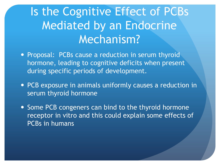## Is the Cognitive Effect of PCBs Mediated by an Endocrine Mechanism?

- Proposal: PCBs cause a reduction in serum thyroid hormone, leading to cognitive deficits when present during specific periods of development.
- PCB exposure in animals uniformly causes a reduction in serum thyroid hormone
- Some PCB congeners can bind to the thyroid hormone receptor in vitro and this could explain some effects of PCBs in humans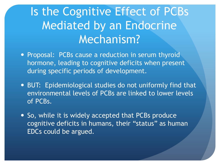## Is the Cognitive Effect of PCBs Mediated by an Endocrine Mechanism?

- Proposal: PCBs cause a reduction in serum thyroid hormone, leading to cognitive deficits when present during specific periods of development.
- BUT: Epidemiological studies do not uniformly find that environmental levels of PCBs are linked to lower levels of PCBs.
- So, while it is widely accepted that PCBs produce cognitive deficits in humans, their "status" as human EDCs could be argued.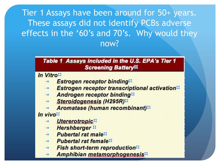Tier 1 Assays have been around for 50+ years. These assays did not identify PCBs adverse effects in the '60's and 70's. Why would they now?

#### Table 1 Assays included in the U.S. EPA's Tier 1 **Screening Battery®**

In Vitro¤

- **Estrogen receptor binding**
- Estrogen receptor transcriptional activation  $\rightarrow$
- Androgen receptor binding  $\rightarrow$
- Steroidogenesis (H295R)¤ ₩
- Aromatase (human recombinant)

In vivo<sup>II</sup>

- Utererotropic
- **Hershberger**  $\rightarrow$
- **Pubertal rat male**
- $\rightarrow$  Pubertal rat female
- **Fish short-term reproduction**¤
- Amphibian metamorphogenesis<sup>II</sup>  $\rightarrow$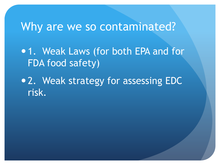## Why are we so contaminated?

• 1. Weak Laws (for both EPA and for FDA food safety)

• 2. Weak strategy for assessing EDC risk.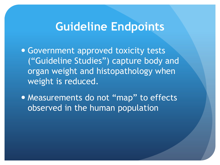## **Guideline Endpoints**

 Government approved toxicity tests ("Guideline Studies") capture body and organ weight and histopathology when weight is reduced.

• Measurements do not "map" to effects observed in the human population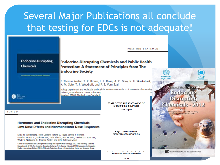## Several Major Publications all conclude that testing for EDCs is not adequate!